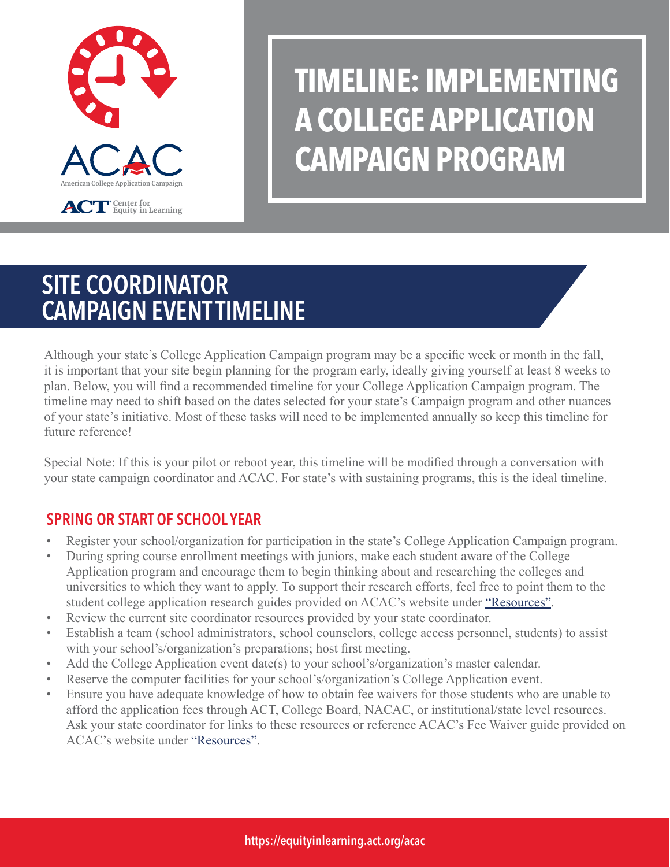

# **TIMELINE: IMPLEMENTING A COLLEGE APPLICATION CAMPAIGN PROGRAM**

## SITE COORDINATOR CAMPAIGN EVENT TIMELINE

Although your state's College Application Campaign program may be a specific week or month in the fall, it is important that your site begin planning for the program early, ideally giving yourself at least 8 weeks to plan. Below, you will find a recommended timeline for your College Application Campaign program. The timeline may need to shift based on the dates selected for your state's Campaign program and other nuances of your state's initiative. Most of these tasks will need to be implemented annually so keep this timeline for future reference!

Special Note: If this is your pilot or reboot year, this timeline will be modified through a conversation with your state campaign coordinator and ACAC. For state's with sustaining programs, this is the ideal timeline.

## SPRING OR START OF SCHOOL YEAR

- Register your school/organization for participation in the state's College Application Campaign program.
- During spring course enrollment meetings with juniors, make each student aware of the College Application program and encourage them to begin thinking about and researching the colleges and universities to which they want to apply. To support their research efforts, feel free to point them to the student college application research guides provided on ACAC's website under ["Resources".](https://equityinlearning.act.org/acac/resources/)
- Review the current site coordinator resources provided by your state coordinator.
- Establish a team (school administrators, school counselors, college access personnel, students) to assist with your school's/organization's preparations; host first meeting.
- Add the College Application event date(s) to your school's/organization's master calendar.
- Reserve the computer facilities for your school's/organization's College Application event.
- Ensure you have adequate knowledge of how to obtain fee waivers for those students who are unable to afford the application fees through ACT, College Board, NACAC, or institutional/state level resources. Ask your state coordinator for links to these resources or reference ACAC's Fee Waiver guide provided on ACAC's website under ["Resources".](https://equityinlearning.act.org/acac/resources/)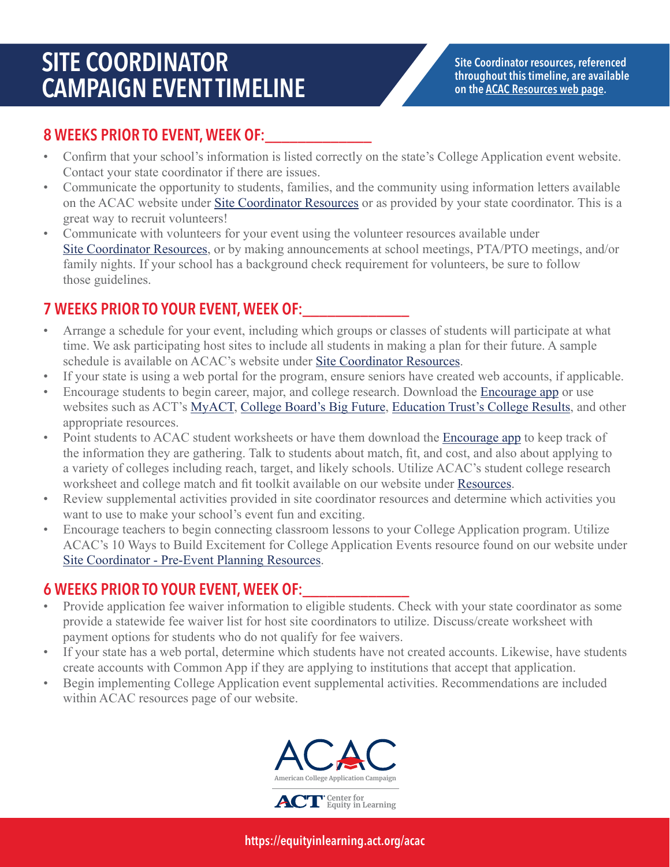## SITE COORDINATOR CAMPAIGN EVENT TIMELINE

Site Coordinator resources, referenced throughout this timeline, are available on th[e ACAC Resources web page.](https://equityinlearning.act.org/acac/resources/)

#### 8 WEEKS PRIOR TO EVENT, WEEK OF:

- Confirm that your school's information is listed correctly on the state's College Application event website. Contact your state coordinator if there are issues.
- Communicate the opportunity to students, families, and the community using information letters available on the ACAC website under [Site Coordinator Resources](https://equityinlearning.act.org/acac/resources/site-coordinator-materials/) or as provided by your state coordinator. This is a great way to recruit volunteers!
- Communicate with volunteers for your event using the volunteer resources available under [Site Coordinator Resources,](https://equityinlearning.act.org/acac/resources/site-coordinator-materials/) or by making announcements at school meetings, PTA/PTO meetings, and/or family nights. If your school has a background check requirement for volunteers, be sure to follow those guidelines.

### 7 WEEKS PRIOR TO YOUR EVENT, WEEK OF:

- Arrange a schedule for your event, including which groups or classes of students will participate at what time. We ask participating host sites to include all students in making a plan for their future. A sample schedule is available on ACAC's website under [Site Coordinator Resources](https://equityinlearning.act.org/acac/resources/site-coordinator-materials/).
- If your state is using a web portal for the program, ensure seniors have created web accounts, if applicable.
- Encourage students to begin career, major, and college research. Download the [Encourage app](https://encourageme.com/download/) or use websites such as ACT's [MyACT](https://www.my.act.org), [College Board's Big Future](https://bigfuture.collegeboard.org/), [Education Trust's College Results](http://collegeresults.org/), and other appropriate resources.
- Point students to ACAC student worksheets or have them download the [Encourage app](https://encourageme.com/download/) to keep track of the information they are gathering. Talk to students about match, fit, and cost, and also about applying to a variety of colleges including reach, target, and likely schools. Utilize ACAC's student college research worksheet and college match and fit toolkit available on our website under [Resources](https://equityinlearning.act.org/acac/resources/).
- Review supplemental activities provided in site coordinator resources and determine which activities you want to use to make your school's event fun and exciting.
- Encourage teachers to begin connecting classroom lessons to your College Application program. Utilize ACAC's 10 Ways to Build Excitement for College Application Events resource found on our website under [Site Coordinator - Pre-Event Planning Resources](https://equityinlearning.act.org/acac/resources/site-coordinator-materials/).

#### 6 WEEKS PRIOR TO YOUR EVENT, WEEK OF:\_\_\_\_\_\_\_\_\_\_\_\_\_

- Provide application fee waiver information to eligible students. Check with your state coordinator as some provide a statewide fee waiver list for host site coordinators to utilize. Discuss/create worksheet with payment options for students who do not qualify for fee waivers.
- If your state has a web portal, determine which students have not created accounts. Likewise, have students create accounts with Common App if they are applying to institutions that accept that application.
- Begin implementing College Application event supplemental activities. Recommendations are included within ACAC resources page of our website.

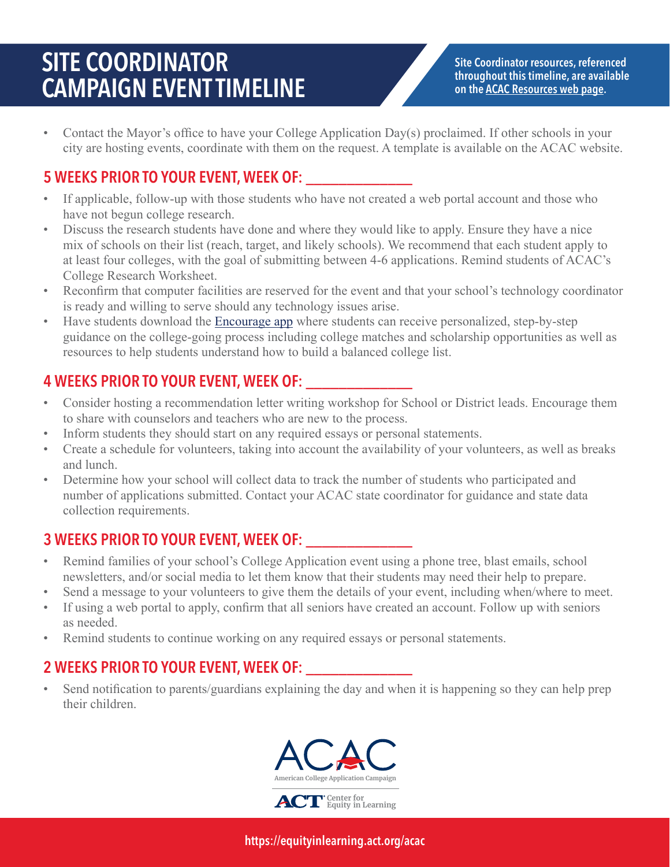## SITE COORDINATOR CAMPAIGN EVENT TIMELINE

Site Coordinator resources, referenced throughout this timeline, are available on th[e ACAC Resources web page.](https://equityinlearning.act.org/acac/resources/)

• Contact the Mayor's office to have your College Application Day(s) proclaimed. If other schools in your city are hosting events, coordinate with them on the request. A template is available on the ACAC website.

### 5 WEEKS PRIOR TO YOUR EVENT, WEEK OF: \_\_\_\_\_\_\_\_\_\_\_\_\_

- If applicable, follow-up with those students who have not created a web portal account and those who have not begun college research.
- Discuss the research students have done and where they would like to apply. Ensure they have a nice mix of schools on their list (reach, target, and likely schools). We recommend that each student apply to at least four colleges, with the goal of submitting between 4-6 applications. Remind students of ACAC's College Research Worksheet.
- Reconfirm that computer facilities are reserved for the event and that your school's technology coordinator is ready and willing to serve should any technology issues arise.
- Have students download the [Encourage app](https://encourageme.com/download/) where students can receive personalized, step-by-step guidance on the college-going process including college matches and scholarship opportunities as well as resources to help students understand how to build a balanced college list.

### 4 WEEKS PRIOR TO YOUR EVENT, WEEK OF: \_\_\_\_\_\_\_\_\_\_\_\_\_

- Consider hosting a recommendation letter writing workshop for School or District leads. Encourage them to share with counselors and teachers who are new to the process.
- Inform students they should start on any required essays or personal statements.
- Create a schedule for volunteers, taking into account the availability of your volunteers, as well as breaks and lunch.
- Determine how your school will collect data to track the number of students who participated and number of applications submitted. Contact your ACAC state coordinator for guidance and state data collection requirements.

### 3 WEEKS PRIOR TO YOUR EVENT, WEEK OF:

- Remind families of your school's College Application event using a phone tree, blast emails, school newsletters, and/or social media to let them know that their students may need their help to prepare.
- Send a message to your volunteers to give them the details of your event, including when/where to meet.
- If using a web portal to apply, confirm that all seniors have created an account. Follow up with seniors as needed.
- Remind students to continue working on any required essays or personal statements.

### 2 WEEKS PRIOR TO YOUR EVENT, WEEK OF:

• Send notification to parents/guardians explaining the day and when it is happening so they can help prep their children.



https://equityinlearning.act.org/acac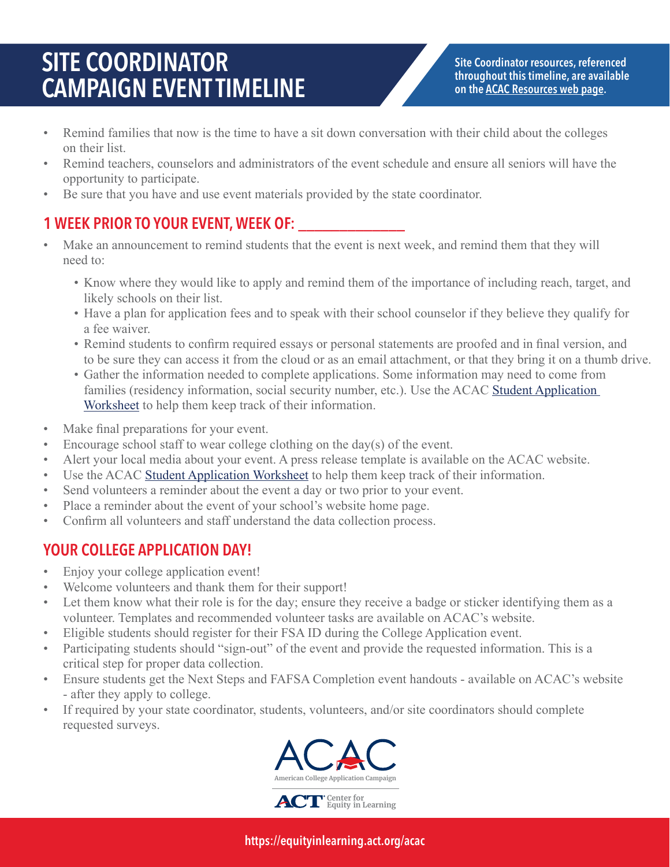## SITE COORDINATOR CAMPAIGN EVENT TIMELINE

Site Coordinator resources, referenced throughout this timeline, are available on th[e ACAC Resources web page.](https://equityinlearning.act.org/acac/resources/)

- Remind families that now is the time to have a sit down conversation with their child about the colleges on their list.
- Remind teachers, counselors and administrators of the event schedule and ensure all seniors will have the opportunity to participate.
- Be sure that you have and use event materials provided by the state coordinator.

### 1 WEEK PRIOR TO YOUR EVENT, WEEK OF:

- Make an announcement to remind students that the event is next week, and remind them that they will need to:
	- Know where they would like to apply and remind them of the importance of including reach, target, and likely schools on their list.
	- Have a plan for application fees and to speak with their school counselor if they believe they qualify for a fee waiver.
	- Remind students to confirm required essays or personal statements are proofed and in final version, and to be sure they can access it from the cloud or as an email attachment, or that they bring it on a thumb drive.
	- Gather the information needed to complete applications. Some information may need to come from families (residency information, social security number, etc.). Use the ACAC Student Application [Worksheet](https://equityinlearning.act.org/acac/resources/site-coordinator-materials/) to help them keep track of their information.
- Make final preparations for your event.
- Encourage school staff to wear college clothing on the day(s) of the event.
- Alert your local media about your event. A press release template is available on the ACAC website.
- Use the ACAC [Student Application Worksheet](https://equityinlearning.act.org/acac/resources/site-coordinator-materials/) to help them keep track of their information.
- Send volunteers a reminder about the event a day or two prior to your event.
- Place a reminder about the event of your school's website home page.
- Confirm all volunteers and staff understand the data collection process.

### YOUR COLLEGE APPLICATION DAY!

- Enjoy your college application event!
- Welcome volunteers and thank them for their support!
- Let them know what their role is for the day; ensure they receive a badge or sticker identifying them as a volunteer. Templates and recommended volunteer tasks are available on ACAC's website.
- Eligible students should register for their FSA ID during the College Application event.
- Participating students should "sign-out" of the event and provide the requested information. This is a critical step for proper data collection.
- Ensure students get the Next Steps and FAFSA Completion event handouts available on ACAC's website - after they apply to college.
- If required by your state coordinator, students, volunteers, and/or site coordinators should complete requested surveys.

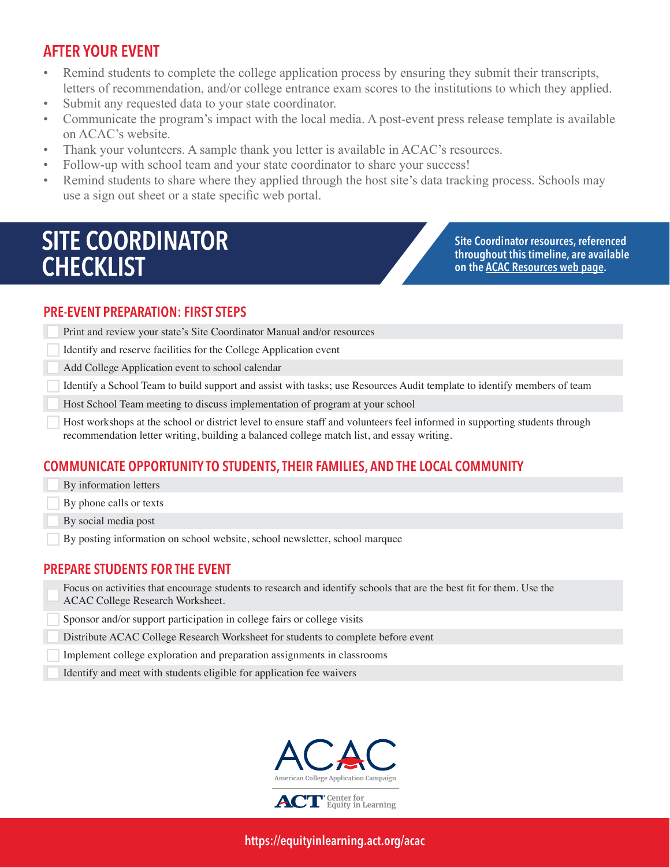### AFTER YOUR EVENT

- Remind students to complete the college application process by ensuring they submit their transcripts, letters of recommendation, and/or college entrance exam scores to the institutions to which they applied.
- Submit any requested data to your state coordinator.
- Communicate the program's impact with the local media. A post-event press release template is available on ACAC's website.
- Thank your volunteers. A sample thank you letter is available in ACAC's resources.
- Follow-up with school team and your state coordinator to share your success!
- Remind students to share where they applied through the host site's data tracking process. Schools may use a sign out sheet or a state specific web portal.

## SITE COORDINATOR **CHECKLIST**

Site Coordinator resources, referenced throughout this timeline, are available on th[e ACAC Resources web page.](https://equityinlearning.act.org/acac/resources/)

#### PRE-EVENT PREPARATION: FIRST STEPS

- Print and review your state's Site Coordinator Manual and/or resources
- Identify and reserve facilities for the College Application event
- Add College Application event to school calendar
- Identify a School Team to build support and assist with tasks; use Resources Audit template to identify members of team
- Host School Team meeting to discuss implementation of program at your school
- Host workshops at the school or district level to ensure staff and volunteers feel informed in supporting students through recommendation letter writing, building a balanced college match list, and essay writing.

#### COMMUNICATE OPPORTUNITY TO STUDENTS, THEIR FAMILIES, AND THE LOCAL COMMUNITY

- By information letters
- By phone calls or texts
- By social media post
- By posting information on school website, school newsletter, school marquee

#### PREPARE STUDENTS FOR THE EVENT

- Focus on activities that encourage students to research and identify schools that are the best fit for them. Use the ACAC College Research Worksheet.
- Sponsor and/or support participation in college fairs or college visits
- Distribute ACAC College Research Worksheet for students to complete before event
- Implement college exploration and preparation assignments in classrooms
- Identify and meet with students eligible for application fee waivers



https://equityinlearning.act.org/acac